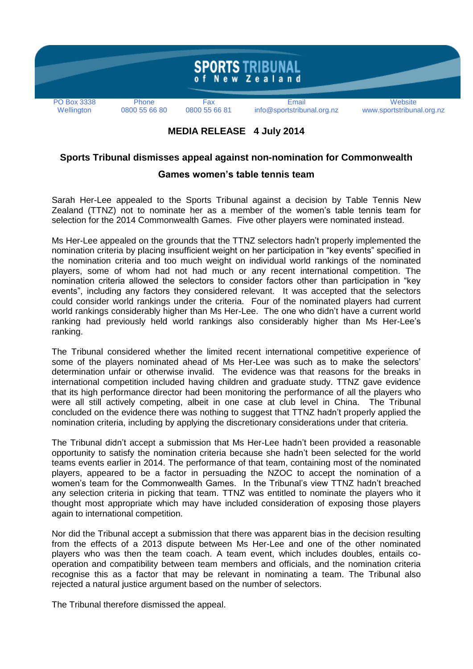

## **MEDIA RELEASE 4 July 2014**

## **Sports Tribunal dismisses appeal against non-nomination for Commonwealth**

## **Games women's table tennis team**

Sarah Her-Lee appealed to the Sports Tribunal against a decision by Table Tennis New Zealand (TTNZ) not to nominate her as a member of the women's table tennis team for selection for the 2014 Commonwealth Games. Five other players were nominated instead.

Ms Her-Lee appealed on the grounds that the TTNZ selectors hadn't properly implemented the nomination criteria by placing insufficient weight on her participation in "key events" specified in the nomination criteria and too much weight on individual world rankings of the nominated players, some of whom had not had much or any recent international competition. The nomination criteria allowed the selectors to consider factors other than participation in "key events", including any factors they considered relevant. It was accepted that the selectors could consider world rankings under the criteria. Four of the nominated players had current world rankings considerably higher than Ms Her-Lee. The one who didn't have a current world ranking had previously held world rankings also considerably higher than Ms Her-Lee's ranking.

The Tribunal considered whether the limited recent international competitive experience of some of the players nominated ahead of Ms Her-Lee was such as to make the selectors' determination unfair or otherwise invalid. The evidence was that reasons for the breaks in international competition included having children and graduate study. TTNZ gave evidence that its high performance director had been monitoring the performance of all the players who were all still actively competing, albeit in one case at club level in China. The Tribunal concluded on the evidence there was nothing to suggest that TTNZ hadn't properly applied the nomination criteria, including by applying the discretionary considerations under that criteria.

The Tribunal didn't accept a submission that Ms Her-Lee hadn't been provided a reasonable opportunity to satisfy the nomination criteria because she hadn't been selected for the world teams events earlier in 2014. The performance of that team, containing most of the nominated players, appeared to be a factor in persuading the NZOC to accept the nomination of a women's team for the Commonwealth Games. In the Tribunal's view TTNZ hadn't breached any selection criteria in picking that team. TTNZ was entitled to nominate the players who it thought most appropriate which may have included consideration of exposing those players again to international competition.

Nor did the Tribunal accept a submission that there was apparent bias in the decision resulting from the effects of a 2013 dispute between Ms Her-Lee and one of the other nominated players who was then the team coach. A team event, which includes doubles, entails cooperation and compatibility between team members and officials, and the nomination criteria recognise this as a factor that may be relevant in nominating a team. The Tribunal also rejected a natural justice argument based on the number of selectors.

The Tribunal therefore dismissed the appeal.